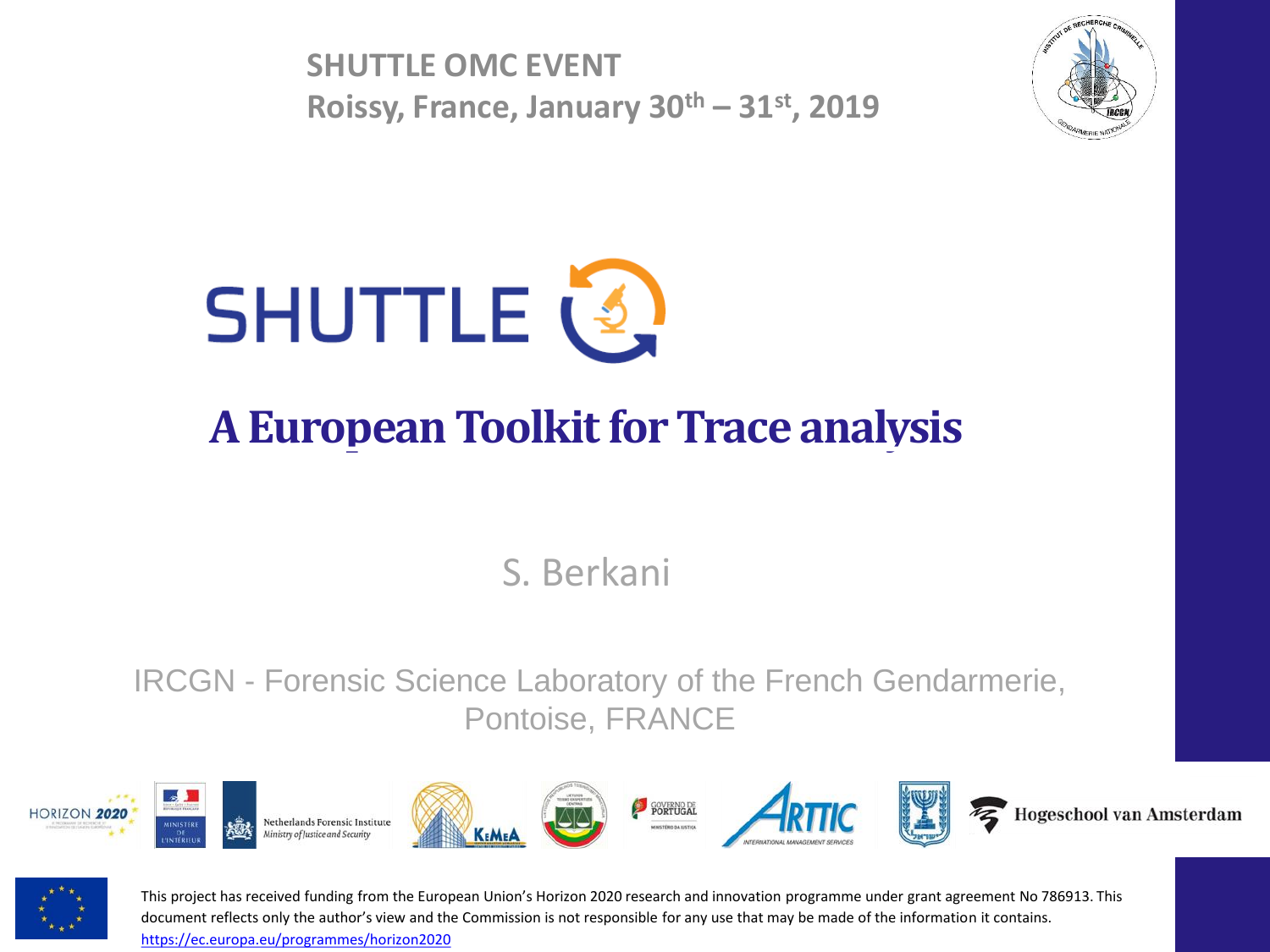**SHUTTLE OMC EVENT Roissy, France, January 30th – 31st, 2019**





## **A European Toolkit for Trace analysis**

S. Berkani

IRCGN - Forensic Science Laboratory of the French Gendarmerie, Pontoise, FRANCE





This project has received funding from the European Union's Horizon 2020 research and innovation programme under grant agreement No 786913. This document reflects only the author's view and the Commission is not responsible for any use that may be made of the information it contains. <https://ec.europa.eu/programmes/horizon2020>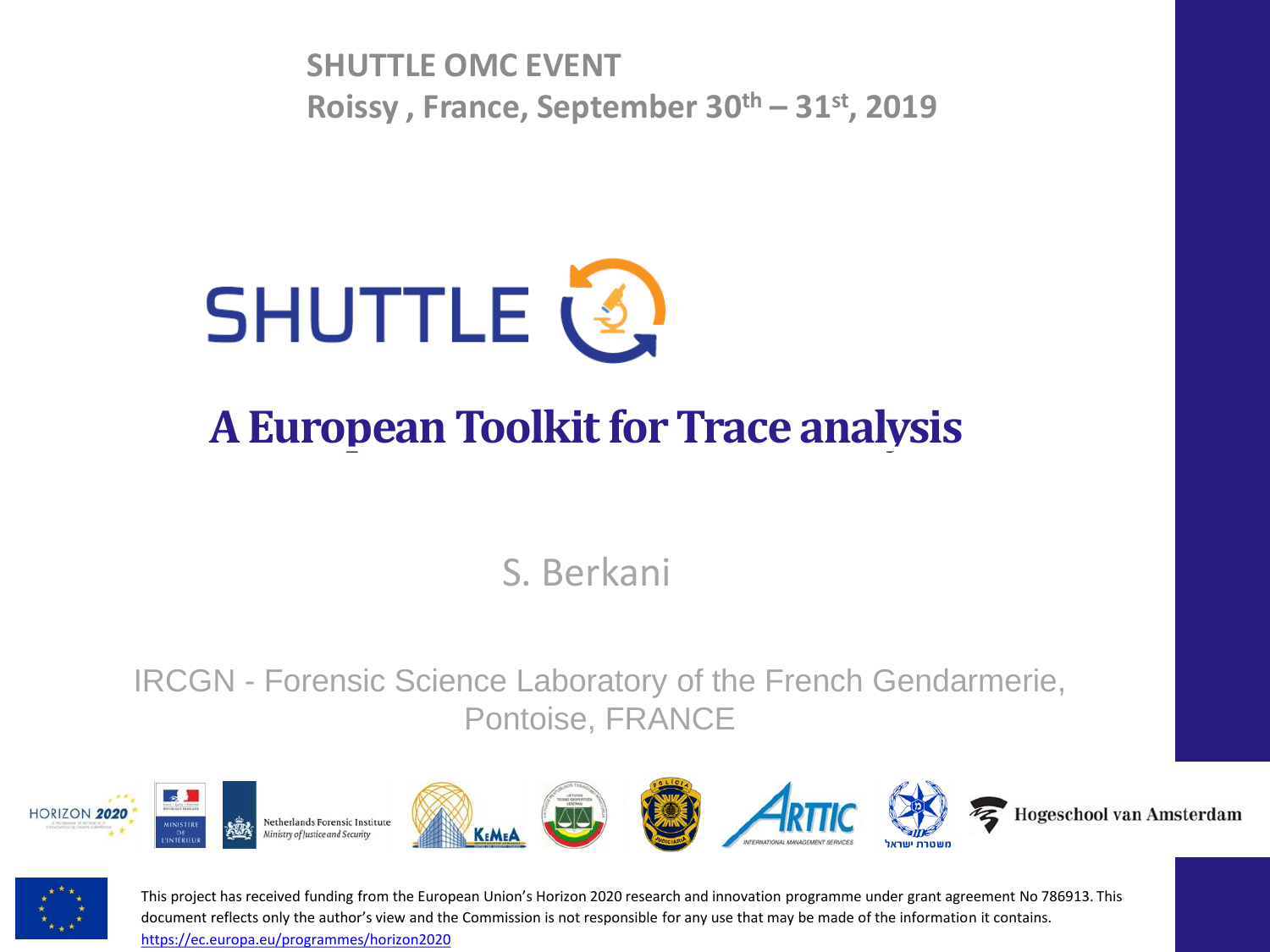**SHUTTLE OMC EVENT Roissy , France, September 30th – 31st, 2019**



### **A European Toolkit for Trace analysis**

S. Berkani

IRCGN - Forensic Science Laboratory of the French Gendarmerie, Pontoise, FRANCE





This project has received funding from the European Union's Horizon 2020 research and innovation programme under grant agreement No 786913. This document reflects only the author's view and the Commission is not responsible for any use that may be made of the information it contains. <https://ec.europa.eu/programmes/horizon2020>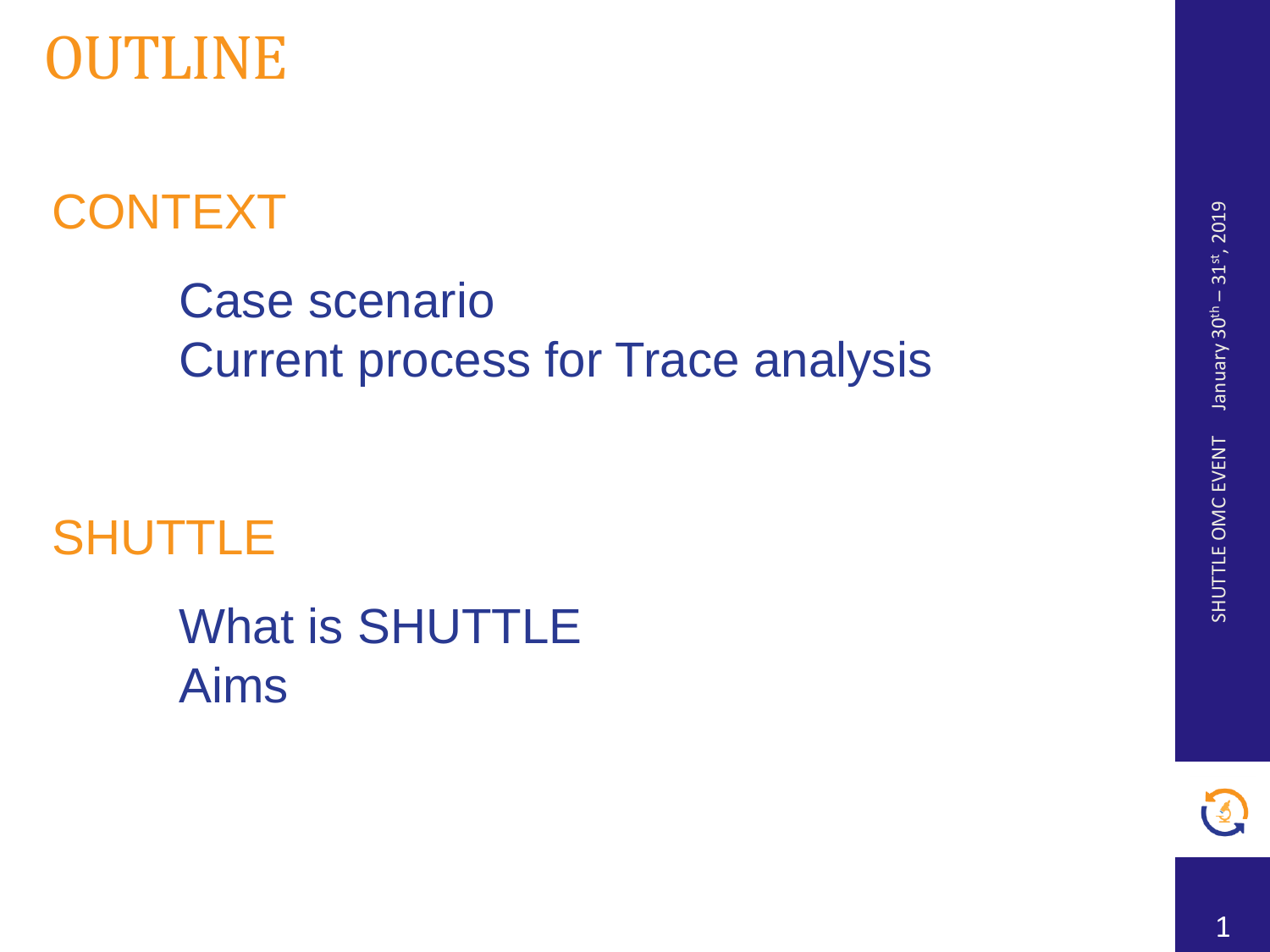

# **CONTEXT**

## Case scenario Current process for Trace analysis

## **SHUTTLE**

What is SHUTTLE Aims

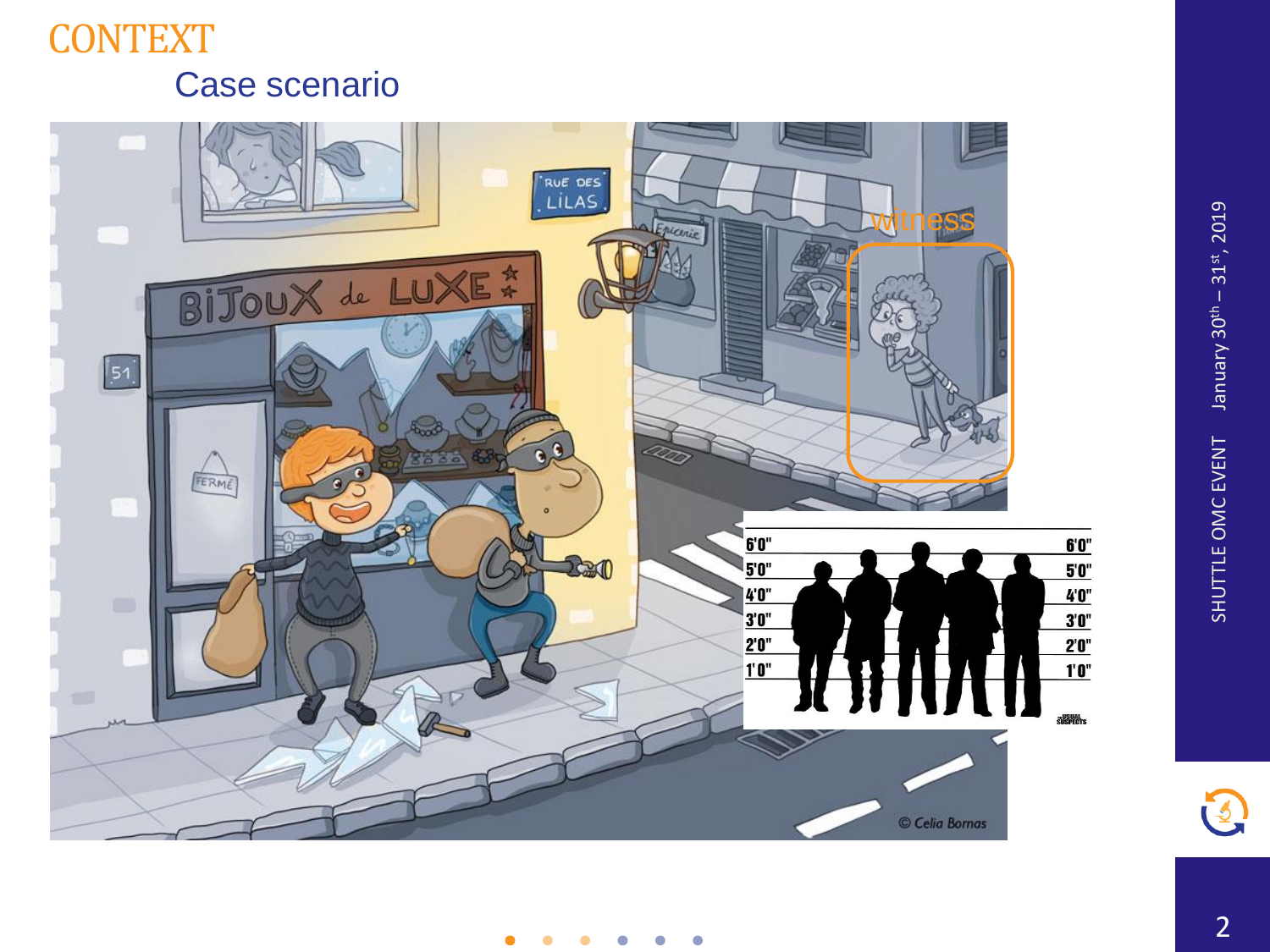#### **CONTEXT** Case scenario





 $\bullet$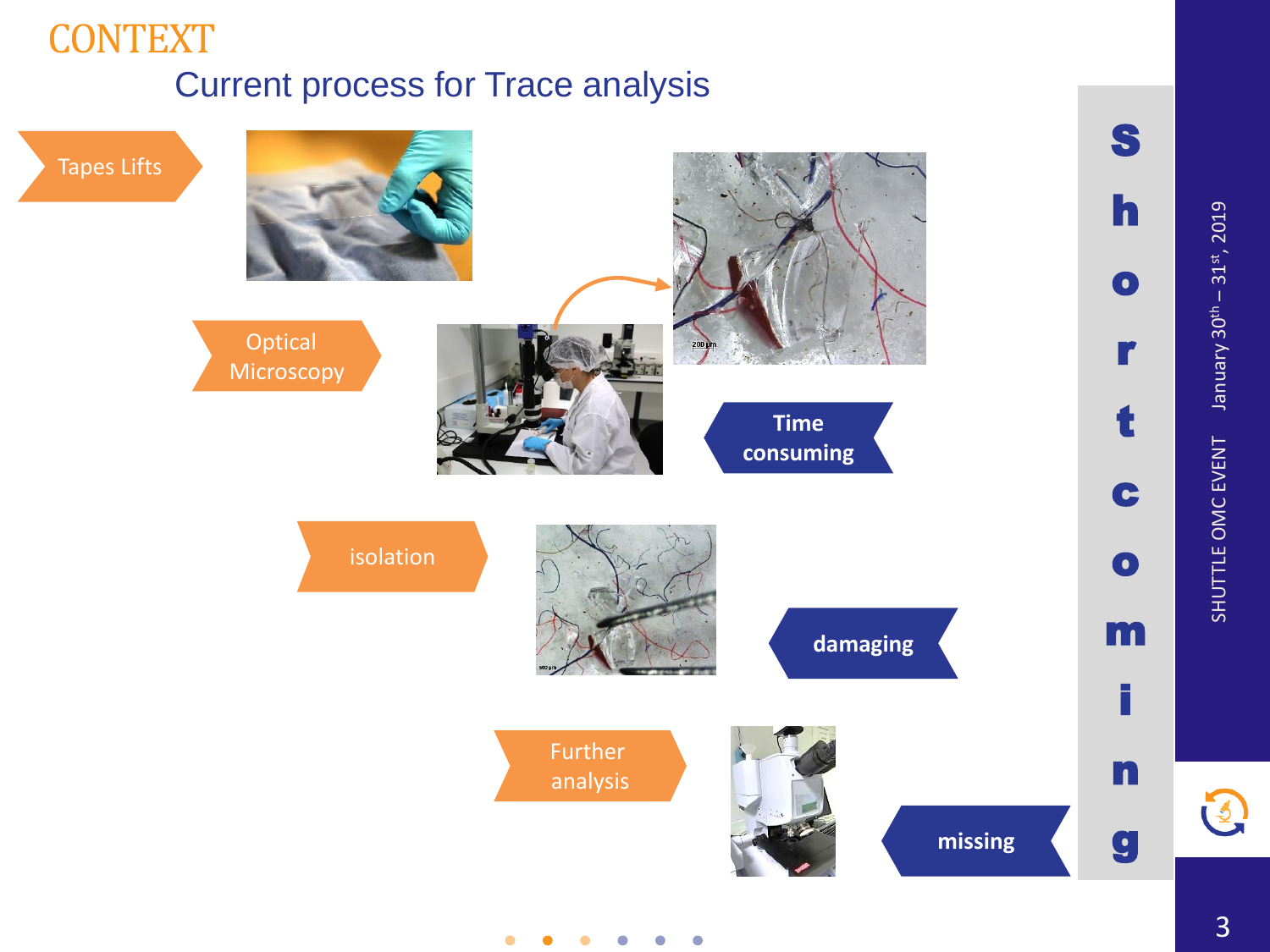#### **CONTEXT** Current process for Trace analysis

Tapes Lifts Optical **Microscopy** Further analysis isolation S h o r t c o m i n g **Time consuming missing damaging**

 $\bullet$ 

 $\bigodot$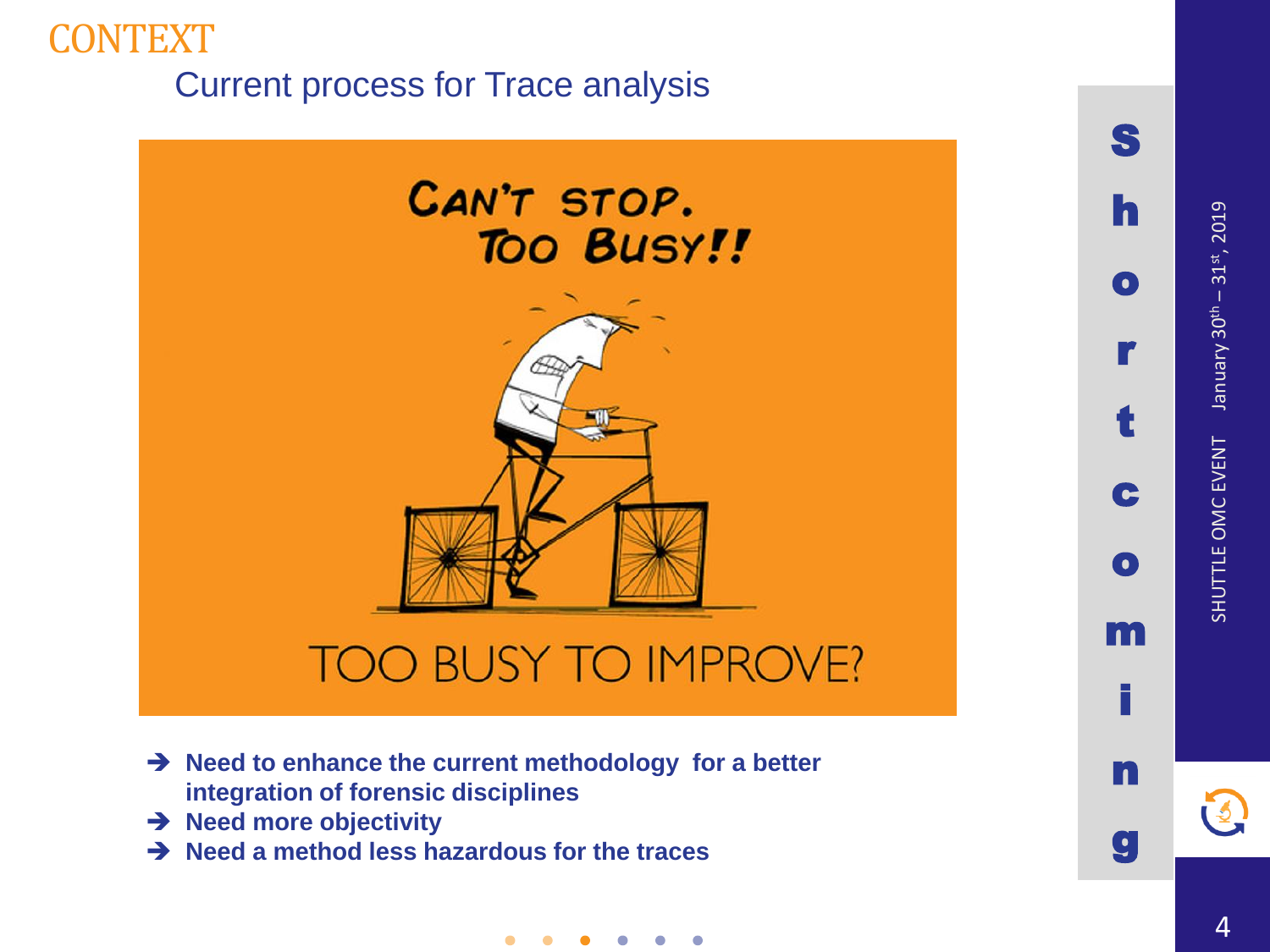#### CONTEXT Current process for Trace analysis



➔ **Need to enhance the current methodology for a better integration of forensic disciplines**

 $\bullet$ 

- ➔ **Need more objectivity**
- ➔ **Need a method less hazardous for the traces**

January 30th - 31st, 2019 January 30th – 31st, 2019 SHUTTLE OMC EVENT SHUTTLE OMC EVENT

S

 $\mathbf h$ 

hort

 $\bullet$ 

c

 $\bullet$ 

omin

m

g

n

3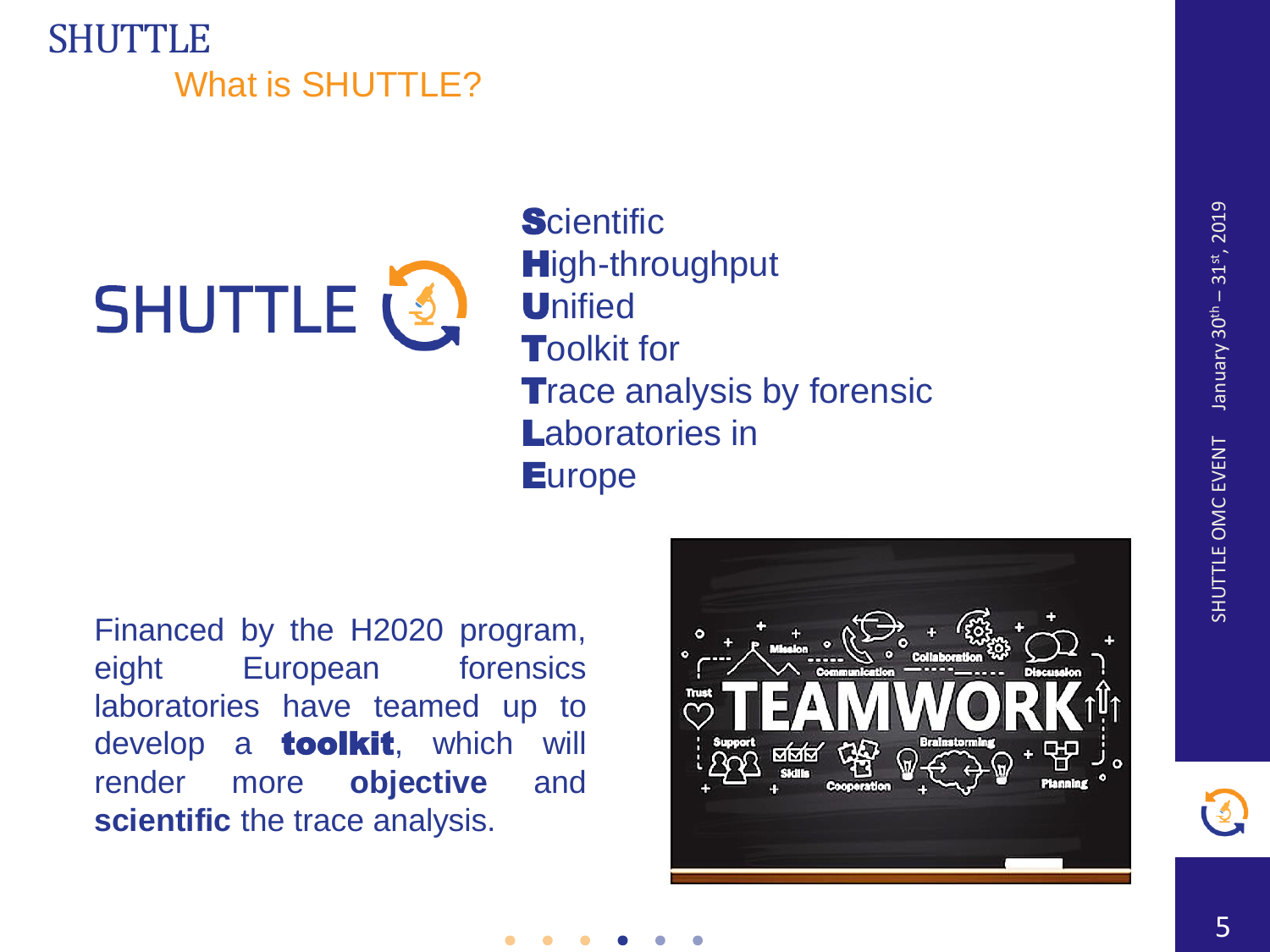#### SHUTTLE What is SHUTTLE?



**Scientific High-throughput Unified Toolkit for Trace analysis by forensic** Laboratories in **Europe** 

Financed by the H2020 program, eight European forensics laboratories have teamed up to develop a **toolkit**, which will render more **objective** and **scientific** the trace analysis.

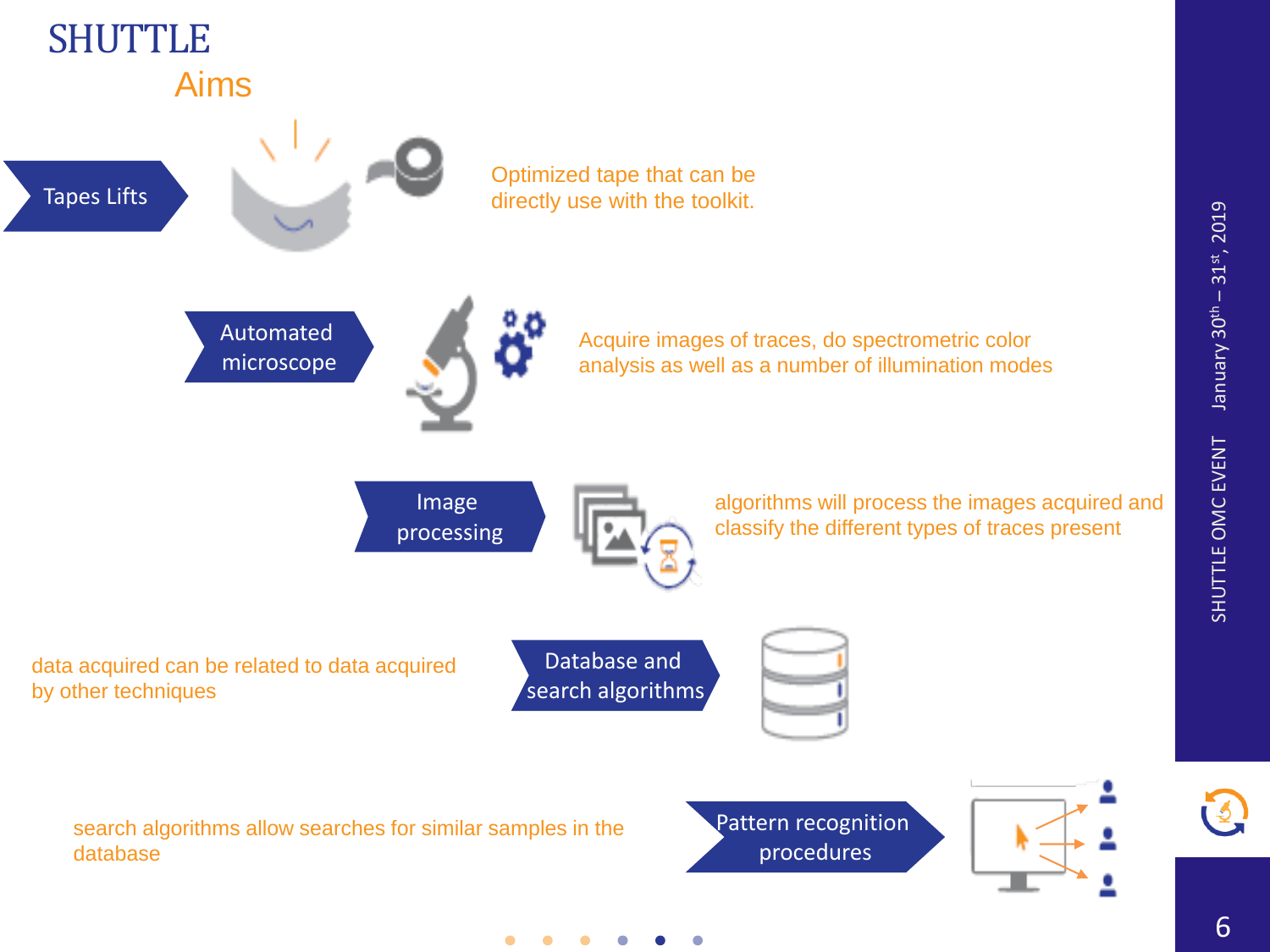

 $\bullet$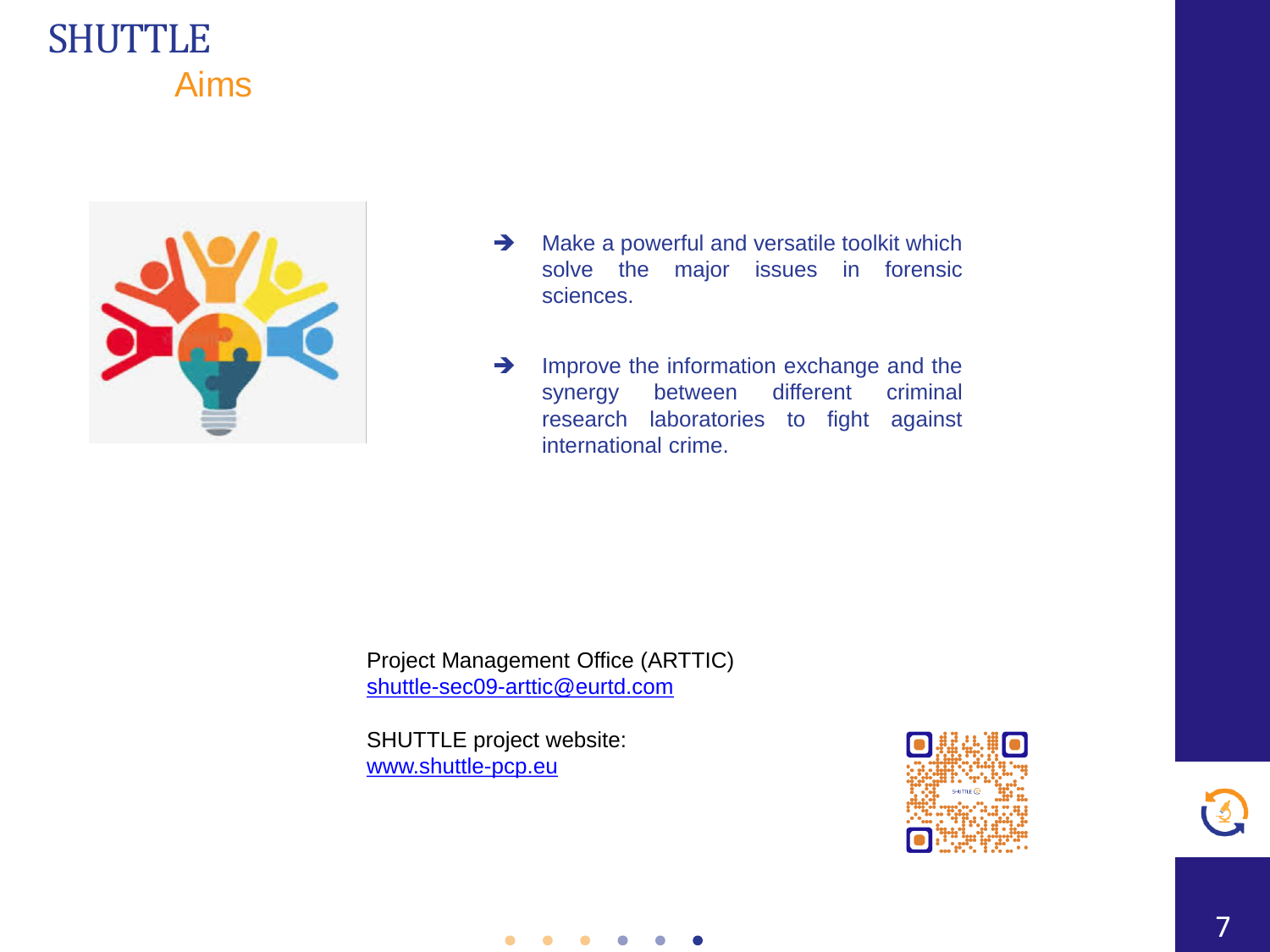#### **SHUTTLE** Aims



- **→** Make a powerful and versatile toolkit which solve the major issues in forensic sciences.
- **→** Improve the information exchange and the synergy between different criminal research laboratories to fight against international crime.

Project Management Office (ARTTIC) [shuttle-sec09-arttic@eurtd.com](mailto:shuttle-sec09-arttic@eurtd.com)

SHUTTLE project website: [www.shuttle-pcp.eu](http://www.shuttle-pcp.eu/)

 $\bullet$